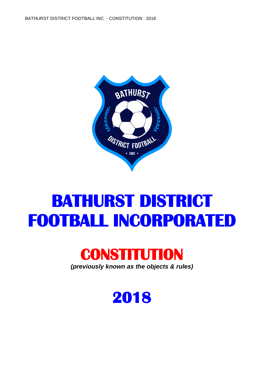

# **BATHURST DISTRICT FOOTBALL INCORPORATE**



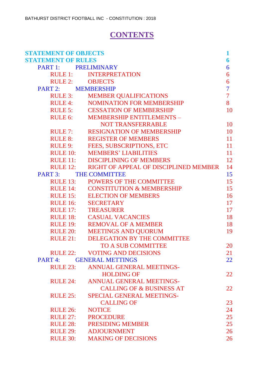# **CONTENTS**

| <b>STATEMENT OF OBJECTS</b> |                                                | 1              |
|-----------------------------|------------------------------------------------|----------------|
| <b>STATEMENT OF RULES</b>   |                                                | 6              |
| PART 1:                     | <b>PRELIMINARY</b>                             | 6              |
| RULE 1:                     | <b>INTERPRETATION</b>                          | 6              |
| RULE 2: OBJECTS             |                                                | 6              |
| PART 2:                     | <b>MEMBERSHIP</b>                              | $\overline{7}$ |
| RULE 3:                     | <b>MEMBER QUALIFICATIONS</b>                   | $\overline{7}$ |
| <b>RULE 4:</b>              | <b>NOMINATION FOR MEMBERSHIP</b>               | 8              |
|                             | RULE 5: CESSATION OF MEMBERSHIP                | 10             |
|                             | RULE 6: MEMBERSHIP ENTITLEMENTS -              |                |
|                             | <b>NOT TRANSFERRABLE</b>                       | 10             |
| RULE 7:                     | <b>RESIGNATION OF MEMBERSHIP</b>               | 10             |
| <b>RULE 8:</b>              | <b>REGISTER OF MEMBERS</b>                     | 11             |
| RULE 9:                     | FEES, SUBSCRIPTIONS, ETC                       | 11             |
| <b>RULE 10:</b>             | <b>MEMBERS' LIABILITIES</b>                    | 11             |
|                             | RULE 11: DISCIPLINING OF MEMBERS               | 12             |
|                             | RULE 12: RIGHT OF APPEAL OF DISCIPLINED MEMBER | 14             |
| PART 3: THE COMMITTEE       |                                                | 15             |
| RULE 13:                    | <b>POWERS OF THE COMMITTEE</b>                 | 15             |
| RULE 14:                    | <b>CONSTITUTION &amp; MEMBERSHIP</b>           | 15             |
| RULE 15:                    | <b>ELECTION OF MEMBERS</b>                     | 16             |
| <b>RULE 16:</b>             | <b>SECRETARY</b>                               | 17             |
| RULE 17:                    | <b>TREASURER</b>                               | 17             |
| <b>RULE 18:</b>             | <b>CASUAL VACANCIES</b>                        | 18             |
| <b>RULE 19:</b>             | <b>REMOVAL OF A MEMBER</b>                     | 18             |
| RULE 20:                    | <b>MEETINGS AND QUORUM</b>                     | 19             |
| RULE 21:                    | DELEGATION BY THE COMMITTEE                    |                |
|                             | <b>TO A SUB COMMITTEE</b>                      | 20             |
|                             | RULE 22: VOTING AND DECISIONS                  | 21             |
| PART <sub>4:</sub>          | <b>GENERAL METTINGS</b>                        | 22             |
| RULE 23:                    | <b>ANNUAL GENERAL MEETINGS-</b>                |                |
|                             | <b>HOLDING OF</b>                              | 22             |
| RULE 24:                    | <b>ANNUAL GENERAL MEETINGS-</b>                |                |
|                             | <b>CALLING OF &amp; BUSINESS AT</b>            | 22             |
| RULE 25:                    | <b>SPECIAL GENERAL MEETINGS-</b>               |                |
|                             | <b>CALLING OF</b>                              | 23             |
| <b>RULE 26:</b>             | <b>NOTICE</b>                                  | 24             |
| RULE 27:                    | <b>PROCEDURE</b>                               | 25             |
| RULE 28:                    | <b>PRESIDING MEMBER</b>                        | 25             |
| <b>RULE 29:</b>             | <b>ADJOURNMENT</b>                             | 26             |
| <b>RULE 30:</b>             | <b>MAKING OF DECISIONS</b>                     | 26             |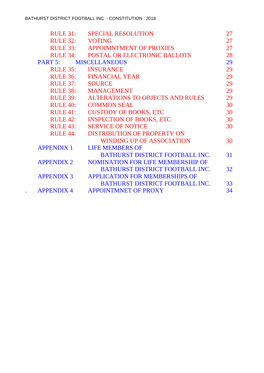| RULE 31:          | <b>SPECIAL RESOLUTION</b>                | 27 |
|-------------------|------------------------------------------|----|
| <b>RULE 32:</b>   | <b>VOTING</b>                            | 27 |
| RULE 33:          | <b>APPOIMNTMENT OF PROXIES</b>           | 27 |
|                   | RULE 34: POSTAL OR ELECTRONIC BALLOTS    | 28 |
| PART 5:           | <b>MISCELLANEOUS</b>                     | 29 |
| $RULE$ 35:        | <b>INSURANCE</b>                         | 29 |
|                   | RULE 36: FINANCIAL YEAR                  | 29 |
| RULE 37:          | <b>SOURCE</b>                            | 29 |
|                   | RULE 38: MANAGEMENT                      | 29 |
| <b>RULE 39:</b>   | <b>ALTERATIONS TO OBJECTS AND RULES</b>  | 29 |
| RULE 40:          | <b>COMMON SEAL</b>                       | 30 |
| RULE 41:          | <b>CUSTODY OF BOOKS, ETC</b>             | 30 |
| RULE 42:          | <b>INSPECTION OF BOOKS, ETC</b>          | 30 |
| RULE 43:          | <b>SERVICE OF NOTICE</b>                 | 30 |
| <b>RULE 44:</b>   | <b>DISTRIBUTION OF PROPERTY ON</b>       |    |
|                   | <b>WINDING UP OF ASSOCIATION</b>         | 30 |
| <b>APPENDIX 1</b> | <b>LIFE MEMBERS OF</b>                   |    |
|                   | <b>BATHURST DISTRICT FOOTBALL INC.</b>   | 31 |
| <b>APPENDIX 2</b> | <b>NOMINATION FOR LIFE MEMBERSHIP OF</b> |    |
|                   | <b>BATHURST DISTRICT FOOTBALL INC.</b>   | 32 |
| <b>APPENDIX 3</b> | <b>APPLICATION FOR MEMBERSHIPS OF</b>    |    |
|                   | <b>BATHURST DISTRICT FOOTBALL INC.</b>   | 33 |
| <b>APPENDIX 4</b> | <b>APPOINTMNET OF PROXY</b>              | 34 |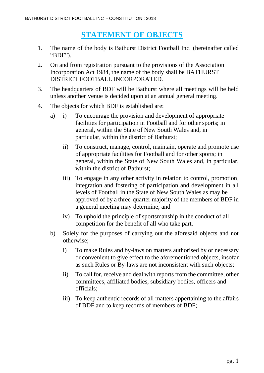# **STATEMENT OF OBJECTS**

- 1. The name of the body is Bathurst District Football Inc. (hereinafter called "BDF").
- 2. On and from registration pursuant to the provisions of the Association Incorporation Act 1984, the name of the body shall be BATHURST DISTRICT FOOTBALL INCORPORATED.
- 3. The headquarters of BDF will be Bathurst where all meetings will be held unless another venue is decided upon at an annual general meeting.
- 4. The objects for which BDF is established are:
	- a) i) To encourage the provision and development of appropriate facilities for participation in Football and for other sports; in general, within the State of New South Wales and, in particular, within the district of Bathurst;
		- ii) To construct, manage, control, maintain, operate and promote use of appropriate facilities for Football and for other sports; in general, within the State of New South Wales and, in particular, within the district of Bathurst;
		- iii) To engage in any other activity in relation to control, promotion, integration and fostering of participation and development in all levels of Football in the State of New South Wales as may be approved of by a three-quarter majority of the members of BDF in a general meeting may determine; and
		- iv) To uphold the principle of sportsmanship in the conduct of all competition for the benefit of all who take part.
	- b) Solely for the purposes of carrying out the aforesaid objects and not otherwise;
		- i) To make Rules and by-laws on matters authorised by or necessary or convenient to give effect to the aforementioned objects, insofar as such Rules or By-laws are not inconsistent with such objects;
		- ii) To call for, receive and deal with reports from the committee, other committees, affiliated bodies, subsidiary bodies, officers and officials;
		- iii) To keep authentic records of all matters appertaining to the affairs of BDF and to keep records of members of BDF;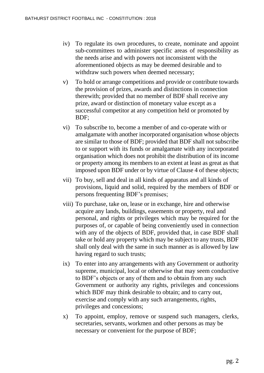- iv) To regulate its own procedures, to create, nominate and appoint sub-committees to administer specific areas of responsibility as the needs arise and with powers not inconsistent with the aforementioned objects as may be deemed desirable and to withdraw such powers when deemed necessary;
- v) To hold or arrange competitions and provide or contribute towards the provision of prizes, awards and distinctions in connection therewith; provided that no member of BDF shall receive any prize, award or distinction of monetary value except as a successful competitor at any competition held or promoted by BDF;
- vi) To subscribe to, become a member of and co-operate with or amalgamate with another incorporated organisation whose objects are similar to those of BDF; provided that BDF shall not subscribe to or support with its funds or amalgamate with any incorporated organisation which does not prohibit the distribution of its income or property among its members to an extent at least as great as that imposed upon BDF under or by virtue of Clause 4 of these objects;
- vii) To buy, sell and deal in all kinds of apparatus and all kinds of provisions, liquid and solid, required by the members of BDF or persons frequenting BDF's premises;
- viii) To purchase, take on, lease or in exchange, hire and otherwise acquire any lands, buildings, easements or property, real and personal, and rights or privileges which may be required for the purposes of, or capable of being conveniently used in connection with any of the objects of BDF, provided that, in case BDF shall take or hold any property which may be subject to any trusts, BDF shall only deal with the same in such manner as is allowed by law having regard to such trusts;
- ix) To enter into any arrangements with any Government or authority supreme, municipal, local or otherwise that may seem conductive to BDF's objects or any of them and to obtain from any such Government or authority any rights, privileges and concessions which BDF may think desirable to obtain; and to carry out, exercise and comply with any such arrangements, rights, privileges and concessions;
- x) To appoint, employ, remove or suspend such managers, clerks, secretaries, servants, workmen and other persons as may be necessary or convenient for the purpose of BDF;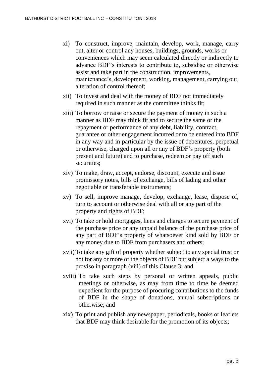- xi) To construct, improve, maintain, develop, work, manage, carry out, alter or control any houses, buildings, grounds, works or conveniences which may seem calculated directly or indirectly to advance BDF's interests to contribute to, subsidise or otherwise assist and take part in the construction, improvements, maintenance's, development, working, management, carrying out, alteration of control thereof;
- xii) To invest and deal with the money of BDF not immediately required in such manner as the committee thinks fit;
- xiii) To borrow or raise or secure the payment of money in such a manner as BDF may think fit and to secure the same or the repayment or performance of any debt, liability, contract, guarantee or other engagement incurred or to be entered into BDF in any way and in particular by the issue of debentures, perpetual or otherwise, charged upon all or any of BDF's property (both present and future) and to purchase, redeem or pay off such securities:
- xiv) To make, draw, accept, endorse, discount, execute and issue promissory notes, bills of exchange, bills of lading and other negotiable or transferable instruments;
- xv) To sell, improve manage, develop, exchange, lease, dispose of, turn to account or otherwise deal with all or any part of the property and rights of BDF;
- xvi) To take or hold mortgages, liens and charges to secure payment of the purchase price or any unpaid balance of the purchase price of any part of BDF's property of whatsoever kind sold by BDF or any money due to BDF from purchasers and others;
- xvii)To take any gift of property whether subject to any special trust or not for any or more of the objects of BDF but subject always to the proviso in paragraph (viii) of this Clause 3; and
- xviii) To take such steps by personal or written appeals, public meetings or otherwise, as may from time to time be deemed expedient for the purpose of procuring contributions to the funds of BDF in the shape of donations, annual subscriptions or otherwise; and
- xix) To print and publish any newspaper, periodicals, books or leaflets that BDF may think desirable for the promotion of its objects;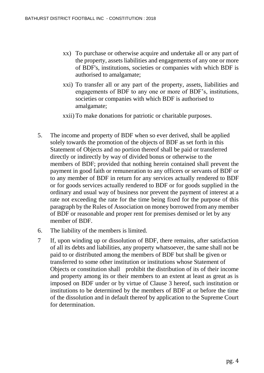- xx) To purchase or otherwise acquire and undertake all or any part of the property, assets liabilities and engagements of any one or more of BDF's, institutions, societies or companies with which BDF is authorised to amalgamate;
- xxi) To transfer all or any part of the property, assets, liabilities and engagements of BDF to any one or more of BDF's, institutions, societies or companies with which BDF is authorised to amalgamate;
- xxii) To make donations for patriotic or charitable purposes.
- 5. The income and property of BDF when so ever derived, shall be applied solely towards the promotion of the objects of BDF as set forth in this Statement of Objects and no portion thereof shall be paid or transferred directly or indirectly by way of divided bonus or otherwise to the members of BDF; provided that nothing herein contained shall prevent the payment in good faith or remuneration to any officers or servants of BDF or to any member of BDF in return for any services actually rendered to BDF or for goods services actually rendered to BDF or for goods supplied in the ordinary and usual way of business nor prevent the payment of interest at a rate not exceeding the rate for the time being fixed for the purpose of this paragraph by the Rules of Association on money borrowed from any member of BDF or reasonable and proper rent for premises demised or let by any member of BDF.
- 6. The liability of the members is limited.
- 7 If, upon winding up or dissolution of BDF, there remains, after satisfaction of all its debts and liabilities, any property whatsoever, the same shall not be paid to or distributed among the members of BDF but shall be given or transferred to some other institution or institutions whose Statement of Objects or constitution shall prohibit the distribution of its of their income and property among its or their members to an extent at least as great as is imposed on BDF under or by virtue of Clause 3 hereof, such institution or institutions to be determined by the members of BDF at or before the time of the dissolution and in default thereof by application to the Supreme Court for determination.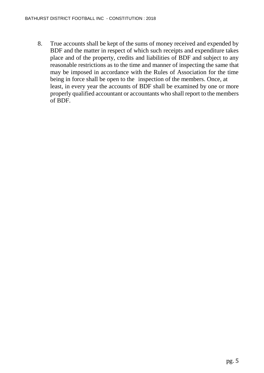8. True accounts shall be kept of the sums of money received and expended by BDF and the matter in respect of which such receipts and expenditure takes place and of the property, credits and liabilities of BDF and subject to any reasonable restrictions as to the time and manner of inspecting the same that may be imposed in accordance with the Rules of Association for the time being in force shall be open to the inspection of the members. Once, at least, in every year the accounts of BDF shall be examined by one or more properly qualified accountant or accountants who shall report to the members of BDF.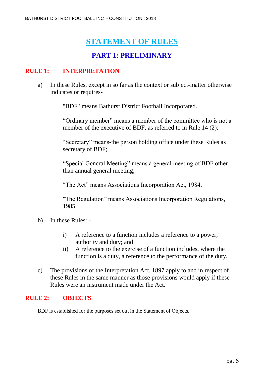# **STATEMENT OF RULES**

## **PART 1: PRELIMINARY**

#### **RULE 1: INTERPRETATION**

a) In these Rules, except in so far as the context or subject-matter otherwise indicates or requires-

"BDF" means Bathurst District Football Incorporated.

"Ordinary member" means a member of the committee who is not a member of the executive of BDF, as referred to in Rule 14 (2);

"Secretary" means-the person holding office under these Rules as secretary of BDF;

"Special General Meeting" means a general meeting of BDF other than annual general meeting;

"The Act" means Associations Incorporation Act, 1984.

"The Regulation" means Associations Incorporation Regulations, 1985.

- b) In these Rules:
	- i) A reference to a function includes a reference to a power, authority and duty; and
	- ii) A reference to the exercise of a function includes, where the function is a duty, a reference to the performance of the duty.
- c) The provisions of the Interpretation Act, 1897 apply to and in respect of these Rules in the same manner as those provisions would apply if these Rules were an instrument made under the Act.

#### **RULE 2: OBJECTS**

BDF is established for the purposes set out in the Statement of Objects.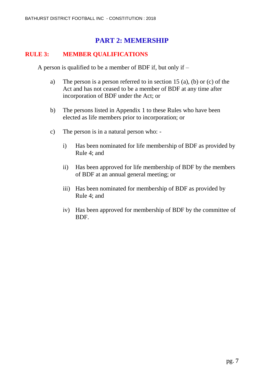### **PART 2: MEMERSHIP**

#### **RULE 3: MEMBER QUALIFICATIONS**

A person is qualified to be a member of BDF if, but only if –

- a) The person is a person referred to in section 15 (a), (b) or (c) of the Act and has not ceased to be a member of BDF at any time after incorporation of BDF under the Act; or
- b) The persons listed in Appendix 1 to these Rules who have been elected as life members prior to incorporation; or
- c) The person is in a natural person who:
	- i) Has been nominated for life membership of BDF as provided by Rule 4; and
	- ii) Has been approved for life membership of BDF by the members of BDF at an annual general meeting; or
	- iii) Has been nominated for membership of BDF as provided by Rule 4; and
	- iv) Has been approved for membership of BDF by the committee of BDF.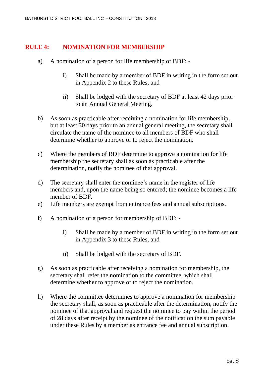#### **RULE 4: NOMINATION FOR MEMBERSHIP**

- a) A nomination of a person for life membership of BDF:
	- i) Shall be made by a member of BDF in writing in the form set out in Appendix 2 to these Rules; and
	- ii) Shall be lodged with the secretary of BDF at least 42 days prior to an Annual General Meeting.
- b) As soon as practicable after receiving a nomination for life membership, but at least 30 days prior to an annual general meeting, the secretary shall circulate the name of the nominee to all members of BDF who shall determine whether to approve or to reject the nomination.
- c) Where the members of BDF determine to approve a nomination for life membership the secretary shall as soon as practicable after the determination, notify the nominee of that approval.
- d) The secretary shall enter the nominee's name in the register of life members and, upon the name being so entered; the nominee becomes a life member of BDF.
- e) Life members are exempt from entrance fees and annual subscriptions.
- f) A nomination of a person for membership of BDF:
	- i) Shall be made by a member of BDF in writing in the form set out in Appendix 3 to these Rules; and
	- ii) Shall be lodged with the secretary of BDF.
- g) As soon as practicable after receiving a nomination for membership, the secretary shall refer the nomination to the committee, which shall determine whether to approve or to reject the nomination.
- h) Where the committee determines to approve a nomination for membership the secretary shall, as soon as practicable after the determination, notify the nominee of that approval and request the nominee to pay within the period of 28 days after receipt by the nominee of the notification the sum payable under these Rules by a member as entrance fee and annual subscription.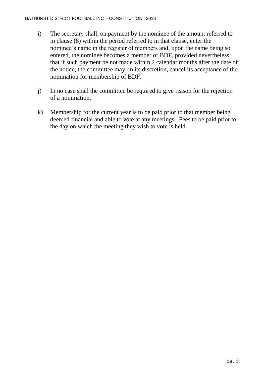- i) The secretary shall, on payment by the nominee of the amount referred to in clause (8) within the period referred to in that clause, enter the nominee's name in the register of members and, upon the name being so entered, the nominee becomes a member of BDF, provided nevertheless that if such payment be not made within 2 calendar months after the date of the notice, the committee may, in its discretion, cancel its acceptance of the nomination for membership of BDF.
- j) In no case shall the committee be required to give reason for the rejection of a nomination.
- k) Membership for the current year is to be paid prior to that member being deemed financial and able to vote at any meetings. Fees to be paid prior to the day on which the meeting they wish to vote is held.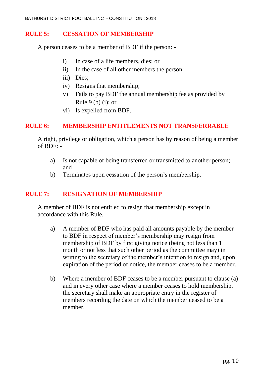#### **RULE 5: CESSATION OF MEMBERSHIP**

A person ceases to be a member of BDF if the person: -

- i) In case of a life members, dies; or
- ii) In the case of all other members the person: -
- iii) Dies;
- iv) Resigns that membership;
- v) Fails to pay BDF the annual membership fee as provided by Rule 9 (b) (i); or
- vi) Is expelled from BDF.

#### **RULE 6: MEMBERSHIP ENTITLEMENTS NOT TRANSFERRABLE**

A right, privilege or obligation, which a person has by reason of being a member of  $BDF: -$ 

- a) Is not capable of being transferred or transmitted to another person; and
- b) Terminates upon cessation of the person's membership.

#### **RULE 7: RESIGNATION OF MEMBERSHIP**

A member of BDF is not entitled to resign that membership except in accordance with this Rule.

- a) A member of BDF who has paid all amounts payable by the member to BDF in respect of member's membership may resign from membership of BDF by first giving notice (being not less than 1 month or not less that such other period as the committee may) in writing to the secretary of the member's intention to resign and, upon expiration of the period of notice, the member ceases to be a member.
- b) Where a member of BDF ceases to be a member pursuant to clause (a) and in every other case where a member ceases to hold membership, the secretary shall make an appropriate entry in the register of members recording the date on which the member ceased to be a member.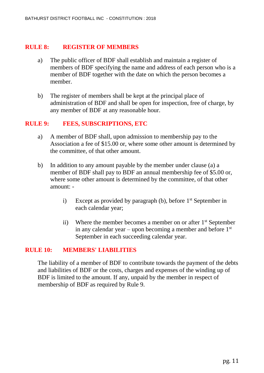#### **RULE 8: REGISTER OF MEMBERS**

- a) The public officer of BDF shall establish and maintain a register of members of BDF specifying the name and address of each person who is a member of BDF together with the date on which the person becomes a member.
- b) The register of members shall be kept at the principal place of administration of BDF and shall be open for inspection, free of charge, by any member of BDF at any reasonable hour.

#### **RULE 9: FEES, SUBSCRIPTIONS, ETC**

- a) A member of BDF shall, upon admission to membership pay to the Association a fee of \$15.00 or, where some other amount is determined by the committee, of that other amount.
- b) In addition to any amount payable by the member under clause (a) a member of BDF shall pay to BDF an annual membership fee of \$5.00 or, where some other amount is determined by the committee, of that other amount:
	- i) Except as provided by paragraph (b), before  $1<sup>st</sup>$  September in each calendar year;
	- ii) Where the member becomes a member on or after  $1<sup>st</sup>$  September in any calendar year – upon becoming a member and before  $1<sup>st</sup>$ September in each succeeding calendar year.

#### **RULE 10: MEMBERS' LIABILITIES**

The liability of a member of BDF to contribute towards the payment of the debts and liabilities of BDF or the costs, charges and expenses of the winding up of BDF is limited to the amount. If any, unpaid by the member in respect of membership of BDF as required by Rule 9.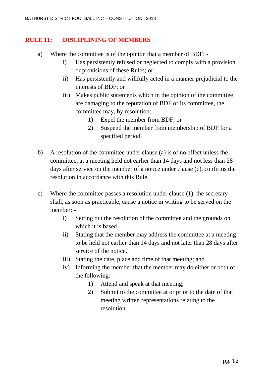#### **RULE 11: DISCIPLINING OF MEMBERS**

- a) Where the committee is of the opinion that a member of BDF:
	- i) Has persistently refused or neglected to comply with a provision or provisions of these Rules; or
	- ii) Has persistently and willfully acted in a manner prejudicial to the interests of BDF; or
	- iii) Makes public statements which in the opinion of the committee are damaging to the reputation of BDF or its committee, the committee may, by resolution: -
		- 1) Expel the member from BDF; or
		- 2) Suspend the member from membership of BDF for a specified period.
- b) A resolution of the committee under clause (a) is of no effect unless the committee, at a meeting held not earlier than 14 days and not less than 28 days after service on the member of a notice under clause (c), confirms the resolution in accordance with this Rule.
- c) Where the committee passes a resolution under clause (1), the secretary shall, as soon as practicable, cause a notice in writing to be served on the member:
	- i) Setting out the resolution of the committee and the grounds on which it is based.
	- ii) Stating that the member may address the committee at a meeting to be held not earlier than 14 days and not later than 28 days after service of the notice.
	- iii) Stating the date, place and time of that meeting; and
	- iv) Informing the member that the member may do either or both of the following: -
		- 1) Attend and speak at that meeting;
		- 2) Submit to the committee at or prior to the date of that meeting written representations relating to the resolution.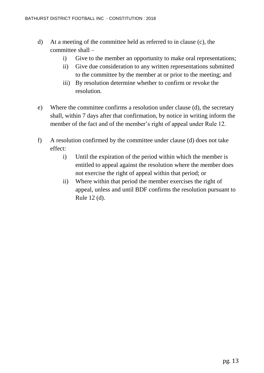- d) At a meeting of the committee held as referred to in clause (c), the committee shall –
	- i) Give to the member an opportunity to make oral representations;
	- ii) Give due consideration to any written representations submitted to the committee by the member at or prior to the meeting; and
	- iii) By resolution determine whether to confirm or revoke the resolution.
- e) Where the committee confirms a resolution under clause (d), the secretary shall, within 7 days after that confirmation, by notice in writing inform the member of the fact and of the member's right of appeal under Rule 12.
- f) A resolution confirmed by the committee under clause (d) does not take effect:
	- i) Until the expiration of the period within which the member is entitled to appeal against the resolution where the member does not exercise the right of appeal within that period; or
	- ii) Where within that period the member exercises the right of appeal, unless and until BDF confirms the resolution pursuant to Rule 12 (d).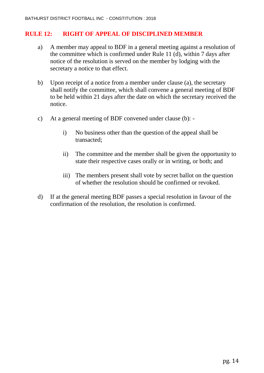#### **RULE 12: RIGHT OF APPEAL OF DISCIPLINED MEMBER**

- a) A member may appeal to BDF in a general meeting against a resolution of the committee which is confirmed under Rule 11 (d), within 7 days after notice of the resolution is served on the member by lodging with the secretary a notice to that effect.
- b) Upon receipt of a notice from a member under clause (a), the secretary shall notify the committee, which shall convene a general meeting of BDF to be held within 21 days after the date on which the secretary received the notice.
- c) At a general meeting of BDF convened under clause (b):
	- i) No business other than the question of the appeal shall be transacted;
	- ii) The committee and the member shall be given the opportunity to state their respective cases orally or in writing, or both; and
	- iii) The members present shall vote by secret ballot on the question of whether the resolution should be confirmed or revoked.
- d) If at the general meeting BDF passes a special resolution in favour of the confirmation of the resolution, the resolution is confirmed.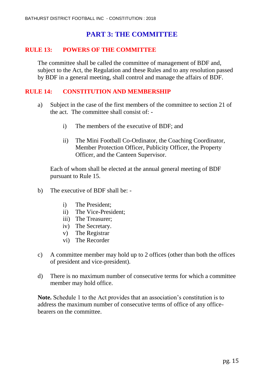## **PART 3: THE COMMITTEE**

#### **RULE 13: POWERS OF THE COMMITTEE**

The committee shall be called the committee of management of BDF and, subject to the Act, the Regulation and these Rules and to any resolution passed by BDF in a general meeting, shall control and manage the affairs of BDF.

#### **RULE 14: CONSTITUTION AND MEMBERSHIP**

- a) Subject in the case of the first members of the committee to section 21 of the act. The committee shall consist of:
	- i) The members of the executive of BDF; and
	- ii) The Mini Football Co-Ordinator, the Coaching Coordinator, Member Protection Officer, Publicity Officer, the Property Officer, and the Canteen Supervisor.

Each of whom shall be elected at the annual general meeting of BDF pursuant to Rule 15.

- b) The executive of BDF shall be:
	- i) The President;
	- ii) The Vice-President;
	- iii) The Treasurer;
	- iv) The Secretary.
	- v) The Registrar
	- vi) The Recorder
- c) A committee member may hold up to 2 offices (other than both the offices of president and vice-president).
- d) There is no maximum number of consecutive terms for which a committee member may hold office.

**Note.** Schedule 1 to the Act provides that an association's constitution is to address the maximum number of consecutive terms of office of any officebearers on the committee.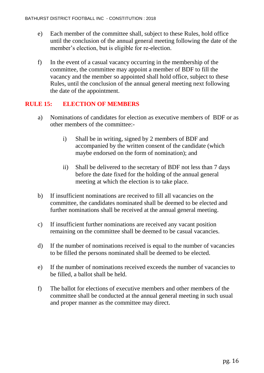- e) Each member of the committee shall, subject to these Rules, hold office until the conclusion of the annual general meeting following the date of the member's election, but is eligible for re-election.
- f) In the event of a casual vacancy occurring in the membership of the committee, the committee may appoint a member of BDF to fill the vacancy and the member so appointed shall hold office, subject to these Rules, until the conclusion of the annual general meeting next following the date of the appointment.

#### **RULE 15: ELECTION OF MEMBERS**

- a) Nominations of candidates for election as executive members of BDF or as other members of the committee:
	- i) Shall be in writing, signed by 2 members of BDF and accompanied by the written consent of the candidate (which maybe endorsed on the form of nomination); and
	- ii) Shall be delivered to the secretary of BDF not less than 7 days before the date fixed for the holding of the annual general meeting at which the election is to take place.
- b) If insufficient nominations are received to fill all vacancies on the committee, the candidates nominated shall be deemed to be elected and further nominations shall be received at the annual general meeting.
- c) If insufficient further nominations are received any vacant position remaining on the committee shall be deemed to be casual vacancies.
- d) If the number of nominations received is equal to the number of vacancies to be filled the persons nominated shall be deemed to be elected.
- e) If the number of nominations received exceeds the number of vacancies to be filled, a ballot shall be held.
- f) The ballot for elections of executive members and other members of the committee shall be conducted at the annual general meeting in such usual and proper manner as the committee may direct.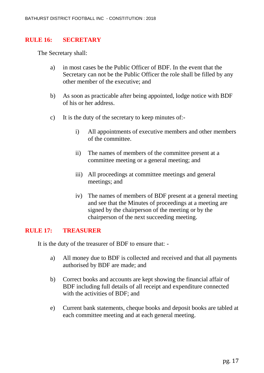#### **RULE 16: SECRETARY**

The Secretary shall:

- a) in most cases be the Public Officer of BDF. In the event that the Secretary can not be the Public Officer the role shall be filled by any other member of the executive; and
- b) As soon as practicable after being appointed, lodge notice with BDF of his or her address.
- c) It is the duty of the secretary to keep minutes of:
	- i) All appointments of executive members and other members of the committee.
	- ii) The names of members of the committee present at a committee meeting or a general meeting; and
	- iii) All proceedings at committee meetings and general meetings; and
	- iv) The names of members of BDF present at a general meeting and see that the Minutes of proceedings at a meeting are signed by the chairperson of the meeting or by the chairperson of the next succeeding meeting.

#### **RULE 17: TREASURER**

It is the duty of the treasurer of BDF to ensure that: -

- a) All money due to BDF is collected and received and that all payments authorised by BDF are made; and
- b) Correct books and accounts are kept showing the financial affair of BDF including full details of all receipt and expenditure connected with the activities of BDF; and
- e) Current bank statements, cheque books and deposit books are tabled at each committee meeting and at each general meeting.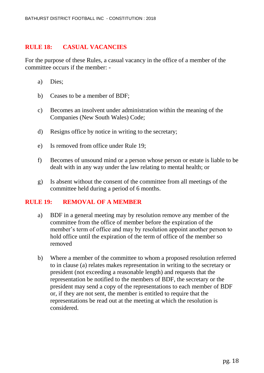#### **RULE 18: CASUAL VACANCIES**

For the purpose of these Rules, a casual vacancy in the office of a member of the committee occurs if the member: -

- a) Dies;
- b) Ceases to be a member of BDF;
- c) Becomes an insolvent under administration within the meaning of the Companies (New South Wales) Code;
- d) Resigns office by notice in writing to the secretary;
- e) Is removed from office under Rule 19;
- f) Becomes of unsound mind or a person whose person or estate is liable to be dealt with in any way under the law relating to mental health; or
- g) Is absent without the consent of the committee from all meetings of the committee held during a period of 6 months.

#### **RULE 19: REMOVAL OF A MEMBER**

- a) BDF in a general meeting may by resolution remove any member of the committee from the office of member before the expiration of the member's term of office and may by resolution appoint another person to hold office until the expiration of the term of office of the member so removed
- b) Where a member of the committee to whom a proposed resolution referred to in clause (a) relates makes representation in writing to the secretary or president (not exceeding a reasonable length) and requests that the representation be notified to the members of BDF, the secretary or the president may send a copy of the representations to each member of BDF or, if they are not sent, the member is entitled to require that the representations be read out at the meeting at which the resolution is considered.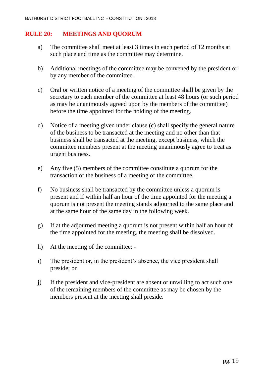#### **RULE 20: MEETINGS AND QUORUM**

- a) The committee shall meet at least 3 times in each period of 12 months at such place and time as the committee may determine.
- b) Additional meetings of the committee may be convened by the president or by any member of the committee.
- c) Oral or written notice of a meeting of the committee shall be given by the secretary to each member of the committee at least 48 hours (or such period as may be unanimously agreed upon by the members of the committee) before the time appointed for the holding of the meeting.
- d) Notice of a meeting given under clause (c) shall specify the general nature of the business to be transacted at the meeting and no other than that business shall be transacted at the meeting, except business, which the committee members present at the meeting unanimously agree to treat as urgent business.
- e) Any five (5) members of the committee constitute a quorum for the transaction of the business of a meeting of the committee.
- f) No business shall be transacted by the committee unless a quorum is present and if within half an hour of the time appointed for the meeting a quorum is not present the meeting stands adjourned to the same place and at the same hour of the same day in the following week.
- g) If at the adjourned meeting a quorum is not present within half an hour of the time appointed for the meeting, the meeting shall be dissolved.
- h) At the meeting of the committee: -
- i) The president or, in the president's absence, the vice president shall preside; or
- j) If the president and vice-president are absent or unwilling to act such one of the remaining members of the committee as may be chosen by the members present at the meeting shall preside.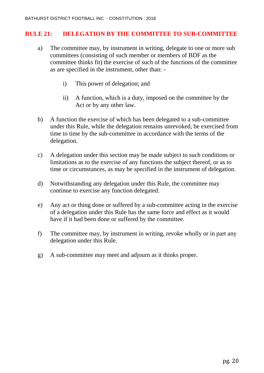#### **RULE 21: DELEGATION BY THE COMMITTEE TO SUB-COMMITTEE**

- a) The committee may, by instrument in writing, delegate to one or more sub committees (consisting of such member or members of BDF as the committee thinks fit) the exercise of such of the functions of the committee as are specified in the instrument, other than:
	- i) This power of delegation; and
	- ii) A function, which is a duty, imposed on the committee by the Act or by any other law.
- b) A function the exercise of which has been delegated to a sub-committee under this Rule, while the delegation remains unrevoked, be exercised from time to time by the sub-committee in accordance with the terms of the delegation.
- c) A delegation under this section may be made subject to such conditions or limitations as to the exercise of any functions the subject thereof, or as to time or circumstances, as may be specified in the instrument of delegation.
- d) Notwithstanding any delegation under this Rule, the committee may continue to exercise any function delegated.
- e) Any act or thing done or suffered by a sub-committee acting in the exercise of a delegation under this Rule has the same force and effect as it would have if it had been done or suffered by the committee.
- f) The committee may, by instrument in writing, revoke wholly or in part any delegation under this Rule.
- g) A sub-committee may meet and adjourn as it thinks proper.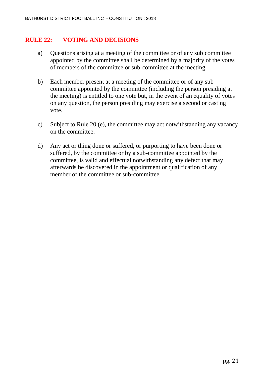#### **RULE 22: VOTING AND DECISIONS**

- a) Questions arising at a meeting of the committee or of any sub committee appointed by the committee shall be determined by a majority of the votes of members of the committee or sub-committee at the meeting.
- b) Each member present at a meeting of the committee or of any subcommittee appointed by the committee (including the person presiding at the meeting) is entitled to one vote but, in the event of an equality of votes on any question, the person presiding may exercise a second or casting vote.
- c) Subject to Rule 20 (e), the committee may act notwithstanding any vacancy on the committee.
- d) Any act or thing done or suffered, or purporting to have been done or suffered, by the committee or by a sub-committee appointed by the committee, is valid and effectual notwithstanding any defect that may afterwards be discovered in the appointment or qualification of any member of the committee or sub-committee.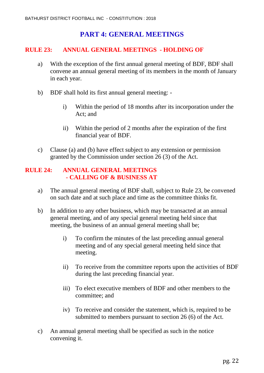## **PART 4: GENERAL MEETINGS**

#### **RULE 23: ANNUAL GENERAL MEETINGS - HOLDING OF**

- a) With the exception of the first annual general meeting of BDF, BDF shall convene an annual general meeting of its members in the month of January in each year.
- b) BDF shall hold its first annual general meeting:
	- i) Within the period of 18 months after its incorporation under the Act; and
	- ii) Within the period of 2 months after the expiration of the first financial year of BDF.
- c) Clause (a) and (b) have effect subject to any extension or permission granted by the Commission under section 26 (3) of the Act.

#### **RULE 24: ANNUAL GENERAL MEETINGS - CALLING OF & BUSINESS AT**

- a) The annual general meeting of BDF shall, subject to Rule 23, be convened on such date and at such place and time as the committee thinks fit.
- b) In addition to any other business, which may be transacted at an annual general meeting, and of any special general meeting held since that meeting, the business of an annual general meeting shall be;
	- i) To confirm the minutes of the last preceding annual general meeting and of any special general meeting held since that meeting.
	- ii) To receive from the committee reports upon the activities of BDF during the last preceding financial year.
	- iii) To elect executive members of BDF and other members to the committee; and
	- iv) To receive and consider the statement, which is, required to be submitted to members pursuant to section 26 (6) of the Act.
- c) An annual general meeting shall be specified as such in the notice convening it.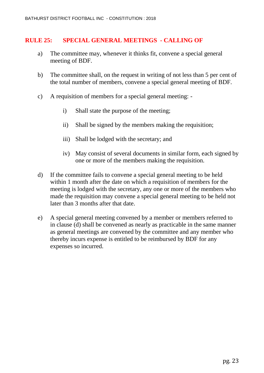#### **RULE 25: SPECIAL GENERAL MEETINGS - CALLING OF**

- a) The committee may, whenever it thinks fit, convene a special general meeting of BDF.
- b) The committee shall, on the request in writing of not less than 5 per cent of the total number of members, convene a special general meeting of BDF.
- c) A requisition of members for a special general meeting:
	- i) Shall state the purpose of the meeting;
	- ii) Shall be signed by the members making the requisition;
	- iii) Shall be lodged with the secretary; and
	- iv) May consist of several documents in similar form, each signed by one or more of the members making the requisition.
- d) If the committee fails to convene a special general meeting to be held within 1 month after the date on which a requisition of members for the meeting is lodged with the secretary, any one or more of the members who made the requisition may convene a special general meeting to be held not later than 3 months after that date.
- e) A special general meeting convened by a member or members referred to in clause (d) shall be convened as nearly as practicable in the same manner as general meetings are convened by the committee and any member who thereby incurs expense is entitled to be reimbursed by BDF for any expenses so incurred.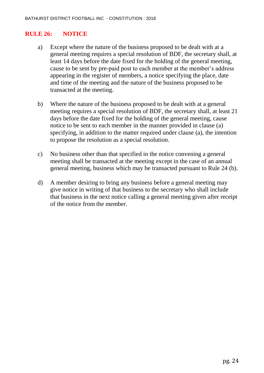#### **RULE 26: NOTICE**

- a) Except where the nature of the business proposed to be dealt with at a general meeting requires a special resolution of BDF, the secretary shall, at least 14 days before the date fixed for the holding of the general meeting, cause to be sent by pre-paid post to each member at the member's address appearing in the register of members, a notice specifying the place, date and time of the meeting and the nature of the business proposed to be transacted at the meeting.
- b) Where the nature of the business proposed to be dealt with at a general meeting requires a special resolution of BDF, the secretary shall, at least 21 days before the date fixed for the holding of the general meeting, cause notice to be sent to each member in the manner provided in clause (a) specifying, in addition to the matter required under clause (a), the intention to propose the resolution as a special resolution.
- c) No business other than that specified in the notice convening a general meeting shall be transacted at the meeting except in the case of an annual general meeting, business which may be transacted pursuant to Rule 24 (b).
- d) A member desiring to bring any business before a general meeting may give notice in writing of that business to the secretary who shall include that business in the next notice calling a general meeting given after receipt of the notice from the member.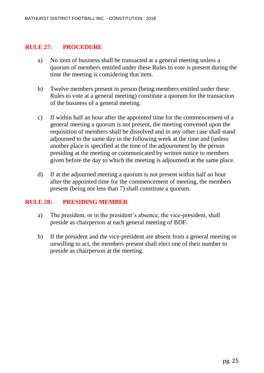#### **RULE 27: PROCEDURE**

- a) No item of business shall be transacted at a general meeting unless a quorum of members entitled under these Rules to vote is present during the time the meeting is considering that item.
- b) Twelve members present in person (being members entitled under these Rules to vote at a general meeting) constitute a quorum for the transaction of the business of a general meeting.
- c) If within half an hour after the appointed time for the commencement of a general meeting a quorum is not present, the meeting convened upon the requisition of members shall be dissolved and in any other case shall stand adjourned to the same day in the following week at the time and (unless another place is specified at the time of the adjournment by the person presiding at the meeting or communicated by written notice to members given before the day to which the meeting is adjourned) at the same place.
- d) If at the adjourned meeting a quorum is not present within half an hour after the appointed time for the commencement of meeting, the members present (being not less than 7) shall constitute a quorum.

#### **RULE 28: PRESIDING MEMBER**

- a) The president, or in the president's absence, the vice-president, shall preside as chairperson at each general meeting of BDF.
- b) If the president and the vice-president are absent from a general meeting or unwilling to act, the members present shall elect one of their number to preside as chairperson at the meeting.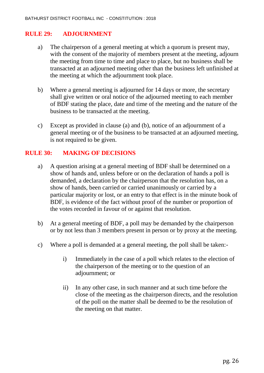#### **RULE 29: ADJOURNMENT**

- a) The chairperson of a general meeting at which a quorum is present may, with the consent of the majority of members present at the meeting, adjourn the meeting from time to time and place to place, but no business shall be transacted at an adjourned meeting other than the business left unfinished at the meeting at which the adjournment took place.
- b) Where a general meeting is adjourned for 14 days or more, the secretary shall give written or oral notice of the adjourned meeting to each member of BDF stating the place, date and time of the meeting and the nature of the business to be transacted at the meeting.
- c) Except as provided in clause (a) and (b), notice of an adjournment of a general meeting or of the business to be transacted at an adjourned meeting, is not required to be given.

#### **RULE 30: MAKING OF DECISIONS**

- a) A question arising at a general meeting of BDF shall be determined on a show of hands and, unless before or on the declaration of hands a poll is demanded, a declaration by the chairperson that the resolution has, on a show of hands, been carried or carried unanimously or carried by a particular majority or lost, or an entry to that effect is in the minute book of BDF, is evidence of the fact without proof of the number or proportion of the votes recorded in favour of or against that resolution.
- b) At a general meeting of BDF, a poll may be demanded by the chairperson or by not less than 3 members present in person or by proxy at the meeting.
- c) Where a poll is demanded at a general meeting, the poll shall be taken:
	- i) Immediately in the case of a poll which relates to the election of the chairperson of the meeting or to the question of an adjournment; or
	- ii) In any other case, in such manner and at such time before the close of the meeting as the chairperson directs, and the resolution of the poll on the matter shall be deemed to be the resolution of the meeting on that matter.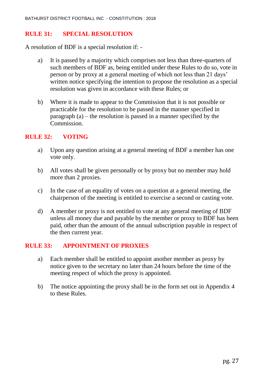#### **RULE 31: SPECIAL RESOLUTION**

A resolution of BDF is a special resolution if: -

- a) It is passed by a majority which comprises not less than three-quarters of such members of BDF as, being entitled under these Rules to do so, vote in person or by proxy at a general meeting of which not less than 21 days' written notice specifying the intention to propose the resolution as a special resolution was given in accordance with these Rules; or
- b) Where it is made to appear to the Commission that it is not possible or practicable for the resolution to be passed in the manner specified in paragraph (a) – the resolution is passed in a manner specified by the Commission.

#### **RULE 32: VOTING**

- a) Upon any question arising at a general meeting of BDF a member has one vote only.
- b) All votes shall be given personally or by proxy but no member may hold more than 2 proxies.
- c) In the case of an equality of votes on a question at a general meeting, the chairperson of the meeting is entitled to exercise a second or casting vote.
- d) A member or proxy is not entitled to vote at any general meeting of BDF unless all money due and payable by the member or proxy to BDF has been paid, other than the amount of the annual subscription payable in respect of the then current year.

#### **RULE 33: APPOINTMENT OF PROXIES**

- a) Each member shall be entitled to appoint another member as proxy by notice given to the secretary no later than 24 hours before the time of the meeting respect of which the proxy is appointed.
- b) The notice appointing the proxy shall be in the form set out in Appendix 4 to these Rules.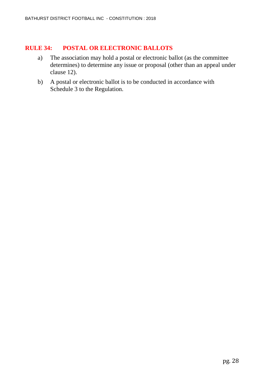#### **RULE 34: POSTAL OR ELECTRONIC BALLOTS**

- a) The association may hold a postal or electronic ballot (as the committee determines) to determine any issue or proposal (other than an appeal under clause 12).
- b) A postal or electronic ballot is to be conducted in accordance with Schedule 3 to the Regulation.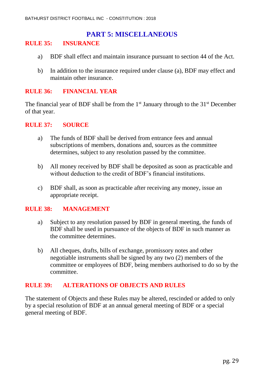## **PART 5: MISCELLANEOUS**

#### **RULE 35: INSURANCE**

- a) BDF shall effect and maintain insurance pursuant to section 44 of the Act.
- b) In addition to the insurance required under clause (a), BDF may effect and maintain other insurance.

#### **RULE 36: FINANCIAL YEAR**

The financial year of BDF shall be from the  $1<sup>st</sup>$  January through to the  $31<sup>st</sup>$  December of that year.

#### **RULE 37: SOURCE**

- a) The funds of BDF shall be derived from entrance fees and annual subscriptions of members, donations and, sources as the committee determines, subject to any resolution passed by the committee.
- b) All money received by BDF shall be deposited as soon as practicable and without deduction to the credit of BDF's financial institutions.
- c) BDF shall, as soon as practicable after receiving any money, issue an appropriate receipt.

#### **RULE 38: MANAGEMENT**

- a) Subject to any resolution passed by BDF in general meeting, the funds of BDF shall be used in pursuance of the objects of BDF in such manner as the committee determines.
- b) All cheques, drafts, bills of exchange, promissory notes and other negotiable instruments shall be signed by any two (2) members of the committee or employees of BDF, being members authorised to do so by the committee.

#### **RULE 39: ALTERATIONS OF OBJECTS AND RULES**

The statement of Objects and these Rules may be altered, rescinded or added to only by a special resolution of BDF at an annual general meeting of BDF or a special general meeting of BDF.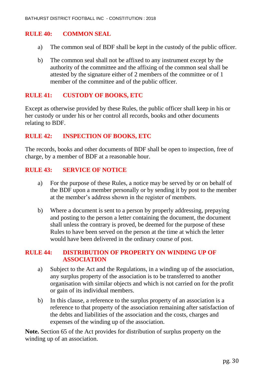#### **RULE 40: COMMON SEAL**

- a) The common seal of BDF shall be kept in the custody of the public officer.
- b) The common seal shall not be affixed to any instrument except by the authority of the committee and the affixing of the common seal shall be attested by the signature either of 2 members of the committee or of 1 member of the committee and of the public officer.

#### **RULE 41: CUSTODY OF BOOKS, ETC**

Except as otherwise provided by these Rules, the public officer shall keep in his or her custody or under his or her control all records, books and other documents relating to BDF.

#### **RULE 42: INSPECTION OF BOOKS, ETC**

The records, books and other documents of BDF shall be open to inspection, free of charge, by a member of BDF at a reasonable hour.

#### **RULE 43: SERVICE OF NOTICE**

- a) For the purpose of these Rules, a notice may be served by or on behalf of the BDF upon a member personally or by sending it by post to the member at the member's address shown in the register of members.
- b) Where a document is sent to a person by properly addressing, prepaying and posting to the person a letter containing the document, the document shall unless the contrary is proved, be deemed for the purpose of these Rules to have been served on the person at the time at which the letter would have been delivered in the ordinary course of post.

#### **RULE 44: DISTRIBUTION OF PROPERTY ON WINDING UP OF ASSOCIATION**

- a) Subject to the Act and the Regulations, in a winding up of the association, any surplus property of the association is to be transferred to another organisation with similar objects and which is not carried on for the profit or gain of its individual members.
- b) In this clause, a reference to the surplus property of an association is a reference to that property of the association remaining after satisfaction of the debts and liabilities of the association and the costs, charges and expenses of the winding up of the association.

**Note.** Section 65 of the Act provides for distribution of surplus property on the winding up of an association.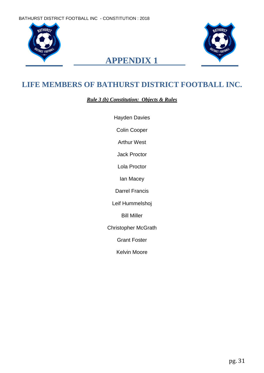



# **APPENDIX 1**

# **LIFE MEMBERS OF BATHURST DISTRICT FOOTBALL INC.**

*Rule 3 (b) Constitution: Objects & Rules*

Hayden Davies

Colin Cooper

Arthur West

Jack Proctor

Lola Proctor

Ian Macey

Darrel Francis

Leif Hummelshoj

Bill Miller

Christopher McGrath

Grant Foster

Kelvin Moore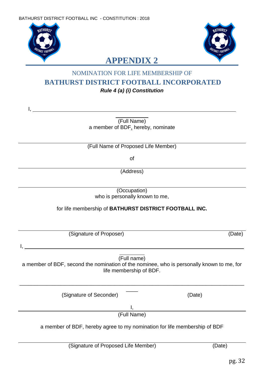

I,



# **APPENDIX 2**

## NOMINATION FOR LIFE MEMBERSHIP OF **BATHURST DISTRICT FOOTBALL INCORPORATED** *Rule 4 (a) (i) Constitution*

 $\frac{1}{2}$ (Full Name) a member of BDF, hereby, nominate

(Full Name of Proposed Life Member)

of

(Address)

(Occupation) who is personally known to me,

#### for life membership of **BATHURST DISTRICT FOOTBALL INC.**

(Signature of Proposer) (Date)

I, and the second control of the second control of the second control of the second control of the second control of the second control of the second control of the second control of the second control of the second contro

l. (Full name)

a member of BDF, second the nomination of the nominee, who is personally known to me, for life membership of BDF.

\_\_\_\_\_\_\_\_\_\_\_\_\_\_\_\_\_\_\_\_\_\_\_\_\_\_\_\_\_\_\_\_\_\_\_\_\_\_\_\_\_\_\_\_\_\_\_\_\_\_\_\_\_\_\_\_\_\_\_\_\_\_\_\_\_\_\_\_\_\_\_\_\_\_\_\_  $\overline{\phantom{a}}$ 

(Signature of Seconder) (Date)

I, (Full Name)

a member of BDF, hereby agree to my nomination for life membership of BDF

(Signature of Proposed Life Member) (Date)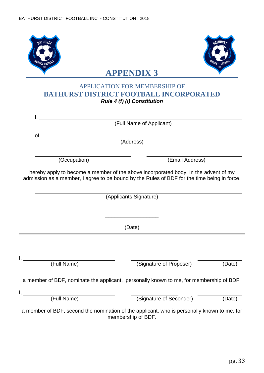| <b>BATHURSZ</b><br><i>RICT</i> FOOTB |                                                                                                                                                                                                              | <b>BATHURS2</b><br><i>RICT FOOT</i> |
|--------------------------------------|--------------------------------------------------------------------------------------------------------------------------------------------------------------------------------------------------------------|-------------------------------------|
|                                      | <b>APPENDIX 3</b>                                                                                                                                                                                            |                                     |
|                                      | <b>APPLICATION FOR MEMBERSHIP OF</b><br><b>BATHURST DISTRICT FOOTBALL INCORPORATED</b><br><b>Rule 4 (f) (i) Constitution</b>                                                                                 |                                     |
| $I_{\rm t}$                          |                                                                                                                                                                                                              |                                     |
|                                      | (Full Name of Applicant)                                                                                                                                                                                     |                                     |
| of                                   |                                                                                                                                                                                                              |                                     |
|                                      | (Address)                                                                                                                                                                                                    |                                     |
| (Occupation)                         | (Email Address)                                                                                                                                                                                              |                                     |
|                                      | hereby apply to become a member of the above incorporated body. In the advent of my<br>admission as a member, I agree to be bound by the Rules of BDF for the time being in force.<br>(Applicants Signature) |                                     |
|                                      | (Date)                                                                                                                                                                                                       |                                     |
| (Full Name)                          | (Signature of Proposer)                                                                                                                                                                                      | (Date)                              |
|                                      | a member of BDF, nominate the applicant, personally known to me, for membership of BDF.                                                                                                                      |                                     |
| (Full Name)                          | (Signature of Seconder)                                                                                                                                                                                      | (Date)                              |
|                                      | a member of BDF, second the nomination of the applicant, who is personally known to me, for<br>membership of BDF.                                                                                            |                                     |